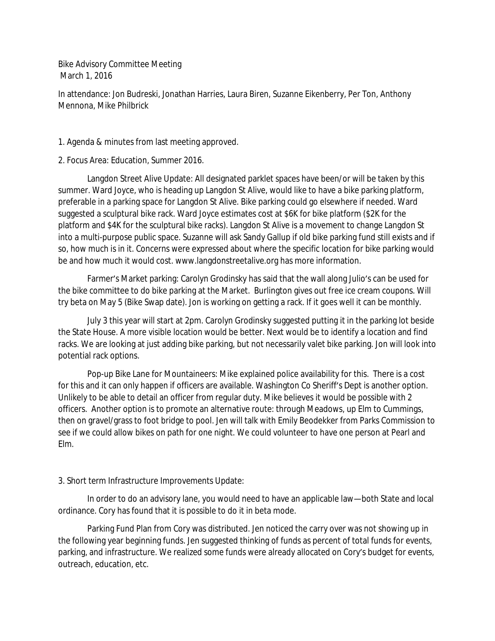Bike Advisory Committee Meeting March 1, 2016

In attendance: Jon Budreski, Jonathan Harries, Laura Biren, Suzanne Eikenberry, Per Ton, Anthony Mennona, Mike Philbrick

1. Agenda & minutes from last meeting approved.

2. Focus Area: Education, Summer 2016.

Langdon Street Alive Update: All designated parklet spaces have been/or will be taken by this summer. Ward Joyce, who is heading up Langdon St Alive, would like to have a bike parking platform, preferable in a parking space for Langdon St Alive. Bike parking could go elsewhere if needed. Ward suggested a sculptural bike rack. Ward Joyce estimates cost at \$6K for bike platform (\$2K for the platform and \$4K for the sculptural bike racks). Langdon St Alive is a movement to change Langdon St into a multi-purpose public space. Suzanne will ask Sandy Gallup if old bike parking fund still exists and if so, how much is in it. Concerns were expressed about where the specific location for bike parking would be and how much it would cost. www.langdonstreetalive.org has more information.

Farmer's Market parking: Carolyn Grodinsky has said that the wall along Julio's can be used for the bike committee to do bike parking at the Market. Burlington gives out free ice cream coupons. Will try beta on May 5 (Bike Swap date). Jon is working on getting a rack. If it goes well it can be monthly.

July 3 this year will start at 2pm. Carolyn Grodinsky suggested putting it in the parking lot beside the State House. A more visible location would be better. Next would be to identify a location and find racks. We are looking at just adding bike parking, but not necessarily valet bike parking. Jon will look into potential rack options.

Pop-up Bike Lane for Mountaineers: Mike explained police availability for this. There is a cost for this and it can only happen if officers are available. Washington Co Sheriff's Dept is another option. Unlikely to be able to detail an officer from regular duty. Mike believes it would be possible with 2 officers. Another option is to promote an alternative route: through Meadows, up Elm to Cummings, then on gravel/grass to foot bridge to pool. Jen will talk with Emily Beodekker from Parks Commission to see if we could allow bikes on path for one night. We could volunteer to have one person at Pearl and Elm.

## 3. Short term Infrastructure Improvements Update:

In order to do an advisory lane, you would need to have an applicable law—both State and local ordinance. Cory has found that it is possible to do it in beta mode.

Parking Fund Plan from Cory was distributed. Jen noticed the carry over was not showing up in the following year beginning funds. Jen suggested thinking of funds as percent of total funds for events, parking, and infrastructure. We realized some funds were already allocated on Cory's budget for events, outreach, education, etc.